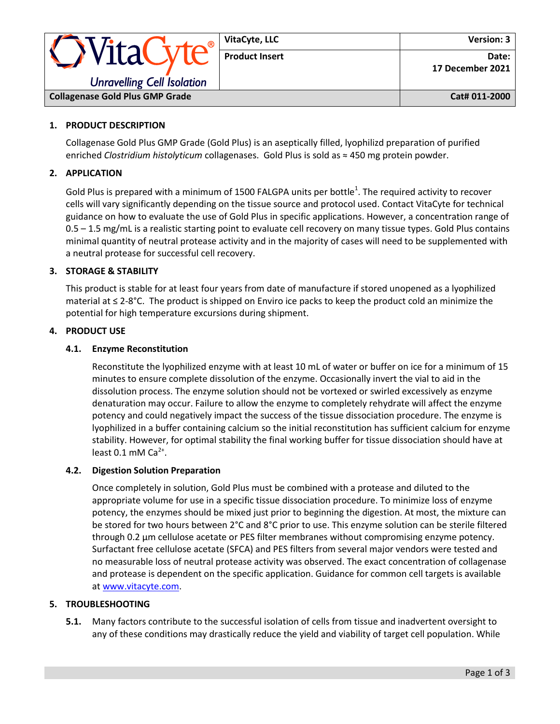| VitaC<br><b>Unravelling Cell Isolation</b> | VitaCyte, LLC         | <b>Version: 3</b>         |
|--------------------------------------------|-----------------------|---------------------------|
|                                            | <b>Product Insert</b> | Date:<br>17 December 2021 |
| <b>Collagenase Gold Plus GMP Grade</b>     |                       | Cat# 011-2000             |

# **1. PRODUCT DESCRIPTION**

Collagenase Gold Plus GMP Grade (Gold Plus) is an aseptically filled, lyophilizd preparation of purified enriched *Clostridium histolyticum* collagenases. Gold Plus is sold as ≈ 450 mg protein powder.

## **2. APPLICATION**

Gold Plus is prepared with a minimum of 1500 FALGPA units per bottle<sup>1</sup>. The required activity to recover cells will vary significantly depending on the tissue source and protocol used. Contact VitaCyte for technical guidance on how to evaluate the use of Gold Plus in specific applications. However, a concentration range of 0.5 – 1.5 mg/mL is a realistic starting point to evaluate cell recovery on many tissue types. Gold Plus contains minimal quantity of neutral protease activity and in the majority of cases will need to be supplemented with a neutral protease for successful cell recovery.

# **3. STORAGE & STABILITY**

This product is stable for at least four years from date of manufacture if stored unopened as a lyophilized material at ≤ 2-8°C. The product is shipped on Enviro ice packs to keep the product cold an minimize the potential for high temperature excursions during shipment.

#### **4. PRODUCT USE**

### **4.1. Enzyme Reconstitution**

Reconstitute the lyophilized enzyme with at least 10 mL of water or buffer on ice for a minimum of 15 minutes to ensure complete dissolution of the enzyme. Occasionally invert the vial to aid in the dissolution process. The enzyme solution should not be vortexed or swirled excessively as enzyme denaturation may occur. Failure to allow the enzyme to completely rehydrate will affect the enzyme potency and could negatively impact the success of the tissue dissociation procedure. The enzyme is lyophilized in a buffer containing calcium so the initial reconstitution has sufficient calcium for enzyme stability. However, for optimal stability the final working buffer for tissue dissociation should have at least  $0.1$  mM Ca<sup>2+</sup>.

#### **4.2. Digestion Solution Preparation**

Once completely in solution, Gold Plus must be combined with a protease and diluted to the appropriate volume for use in a specific tissue dissociation procedure. To minimize loss of enzyme potency, the enzymes should be mixed just prior to beginning the digestion. At most, the mixture can be stored for two hours between 2°C and 8°C prior to use. This enzyme solution can be sterile filtered through 0.2 μm cellulose acetate or PES filter membranes without compromising enzyme potency. Surfactant free cellulose acetate (SFCA) and PES filters from several major vendors were tested and no measurable loss of neutral protease activity was observed. The exact concentration of collagenase and protease is dependent on the specific application. Guidance for common cell targets is available at [www.vitacyte.com.](http://www.vitacyte.com/)

# **5. TROUBLESHOOTING**

**5.1.** Many factors contribute to the successful isolation of cells from tissue and inadvertent oversight to any of these conditions may drastically reduce the yield and viability of target cell population. While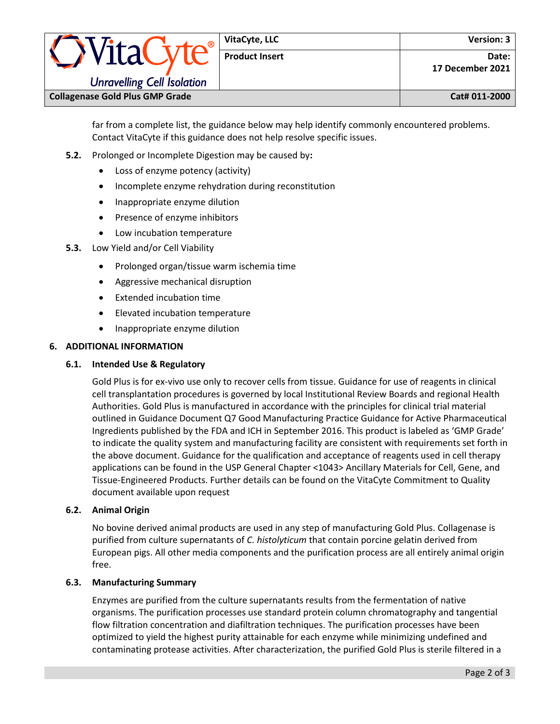| · WitaCivre<br><b>Unravelling Cell Isolation</b> | VitaCyte, LLC         | <b>Version: 3</b>         |
|--------------------------------------------------|-----------------------|---------------------------|
|                                                  | <b>Product Insert</b> | Date:<br>17 December 2021 |
| <b>Collagenase Gold Plus GMP Grade</b>           |                       | Cat# 011-2000             |

far from a complete list, the guidance below may help identify commonly encountered problems. Contact VitaCyte if this guidance does not help resolve specific issues.

- **5.2.** Prolonged or Incomplete Digestion may be caused by**:**
	- Loss of enzyme potency (activity)
	- Incomplete enzyme rehydration during reconstitution
	- Inappropriate enzyme dilution
	- Presence of enzyme inhibitors
	- Low incubation temperature
- **5.3.** Low Yield and/or Cell Viability
	- Prolonged organ/tissue warm ischemia time
	- Aggressive mechanical disruption
	- Extended incubation time
	- Elevated incubation temperature
	- Inappropriate enzyme dilution

# **6. ADDITIONAL INFORMATION**

## **6.1. Intended Use & Regulatory**

Gold Plus is for ex-vivo use only to recover cells from tissue. Guidance for use of reagents in clinical cell transplantation procedures is governed by local Institutional Review Boards and regional Health Authorities. Gold Plus is manufactured in accordance with the principles for clinical trial material outlined in Guidance Document Q7 Good Manufacturing Practice Guidance for Active Pharmaceutical Ingredients published by the FDA and ICH in September 2016. This product is labeled as 'GMP Grade' to indicate the quality system and manufacturing facility are consistent with requirements set forth in the above document. Guidance for the qualification and acceptance of reagents used in cell therapy applications can be found in the USP General Chapter <1043> Ancillary Materials for Cell, Gene, and Tissue-Engineered Products. Further details can be found on the VitaCyte Commitment to Quality document available upon request

# **6.2. Animal Origin**

No bovine derived animal products are used in any step of manufacturing Gold Plus. Collagenase is purified from culture supernatants of *C. histolyticum* that contain porcine gelatin derived from European pigs. All other media components and the purification process are all entirely animal origin free.

# **6.3. Manufacturing Summary**

Enzymes are purified from the culture supernatants results from the fermentation of native organisms. The purification processes use standard protein column chromatography and tangential flow filtration concentration and diafiltration techniques. The purification processes have been optimized to yield the highest purity attainable for each enzyme while minimizing undefined and contaminating protease activities. After characterization, the purified Gold Plus is sterile filtered in a